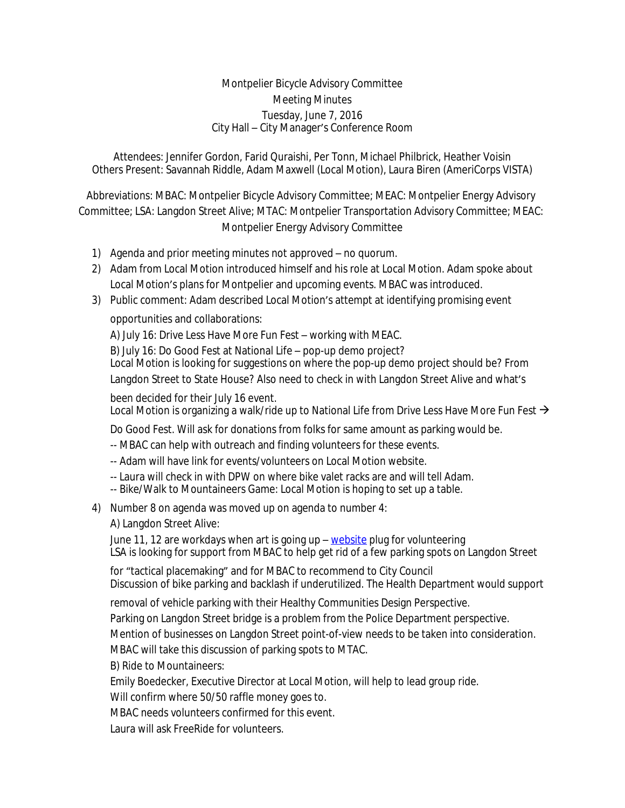## Montpelier Bicycle Advisory Committee Meeting Minutes Tuesday, June 7, 2016 City Hall – City Manager's Conference Room

Attendees: Jennifer Gordon, Farid Quraishi, Per Tonn, Michael Philbrick, Heather Voisin Others Present: Savannah Riddle, Adam Maxwell (Local Motion), Laura Biren (AmeriCorps VISTA)

Abbreviations: MBAC: Montpelier Bicycle Advisory Committee; MEAC: Montpelier Energy Advisory Committee; LSA: Langdon Street Alive; MTAC: Montpelier Transportation Advisory Committee; MEAC: Montpelier Energy Advisory Committee

- 1) Agenda and prior meeting minutes not approved no quorum.
- 2) Adam from Local Motion introduced himself and his role at Local Motion. Adam spoke about Local Motion's plans for Montpelier and upcoming events. MBAC was introduced.
- 3) Public comment: Adam described Local Motion's attempt at identifying promising event

opportunities and collaborations:

A) July 16: Drive Less Have More Fun Fest – working with MEAC.

B) July 16: Do Good Fest at National Life – pop-up demo project?

Local Motion is looking for suggestions on where the pop-up demo project should be? From Langdon Street to State House? Also need to check in with Langdon Street Alive and what's

been decided for their July 16 event.

Local Motion is organizing a walk/ride up to National Life from Drive Less Have More Fun Fest  $\rightarrow$ 

Do Good Fest. Will ask for donations from folks for same amount as parking would be.

-- MBAC can help with outreach and finding volunteers for these events.

- -- Adam will have link for events/volunteers on Local Motion website.
- -- Laura will check in with DPW on where bike valet racks are and will tell Adam.
- -- Bike/Walk to Mountaineers Game: Local Motion is hoping to set up a table.
- 4) Number 8 on agenda was moved up on agenda to number 4:

A) Langdon Street Alive:

June 11, 12 are workdays when art is going up – [website](http://www.langdonstreetalive.org/) plug for volunteering LSA is looking for support from MBAC to help get rid of a few parking spots on Langdon Street

for "tactical placemaking" and for MBAC to recommend to City Council Discussion of bike parking and backlash if underutilized. The Health Department would support

removal of vehicle parking with their Healthy Communities Design Perspective.

Parking on Langdon Street bridge is a problem from the Police Department perspective.

Mention of businesses on Langdon Street point-of-view needs to be taken into consideration.

MBAC will take this discussion of parking spots to MTAC.

B) Ride to Mountaineers:

Emily Boedecker, Executive Director at Local Motion, will help to lead group ride.

Will confirm where 50/50 raffle money goes to.

MBAC needs volunteers confirmed for this event.

Laura will ask FreeRide for volunteers.